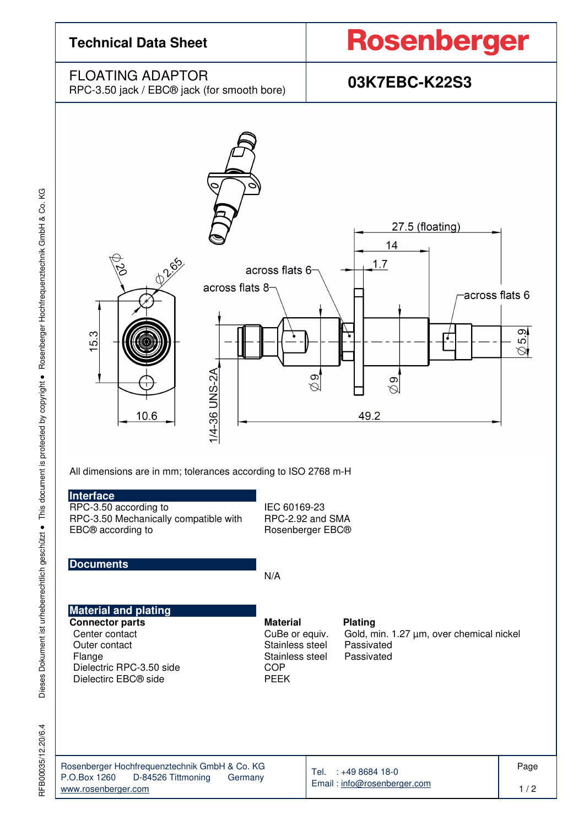

Dieses Dokument ist urheberrechtlich geschützt · This document is protected by copyright · Rosenberger Hochfrequenztechnik GmbH & Co. KG RFB00035/12.20/6.4 Dieses Dokument ist urheberrechtlich geschützt ● This document is protected by copyright ● Rosenberger Hochfrequenztechnik GmbH & Co. KG

RFB00035/12.20/6.4